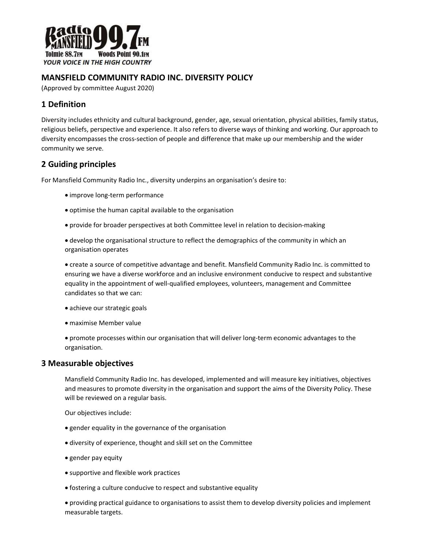

## MANSFIELD COMMUNITY RADIO INC. DIVERSITY POLICY

(Approved by committee August 2020)

# 1 Definition

Diversity includes ethnicity and cultural background, gender, age, sexual orientation, physical abilities, family status, religious beliefs, perspective and experience. It also refers to diverse ways of thinking and working. Our approach to diversity encompasses the cross-section of people and difference that make up our membership and the wider community we serve.

# 2 Guiding principles

For Mansfield Community Radio Inc., diversity underpins an organisation's desire to:

- improve long-term performance
- optimise the human capital available to the organisation
- provide for broader perspectives at both Committee level in relation to decision-making
- develop the organisational structure to reflect the demographics of the community in which an organisation operates

 create a source of competitive advantage and benefit. Mansfield Community Radio Inc. is committed to ensuring we have a diverse workforce and an inclusive environment conducive to respect and substantive equality in the appointment of well-qualified employees, volunteers, management and Committee candidates so that we can:

- achieve our strategic goals
- maximise Member value
- promote processes within our organisation that will deliver long-term economic advantages to the organisation.

#### 3 Measurable objectives

Mansfield Community Radio Inc. has developed, implemented and will measure key initiatives, objectives and measures to promote diversity in the organisation and support the aims of the Diversity Policy. These will be reviewed on a regular basis.

Our objectives include:

- gender equality in the governance of the organisation
- diversity of experience, thought and skill set on the Committee
- gender pay equity
- supportive and flexible work practices
- fostering a culture conducive to respect and substantive equality

 providing practical guidance to organisations to assist them to develop diversity policies and implement measurable targets.